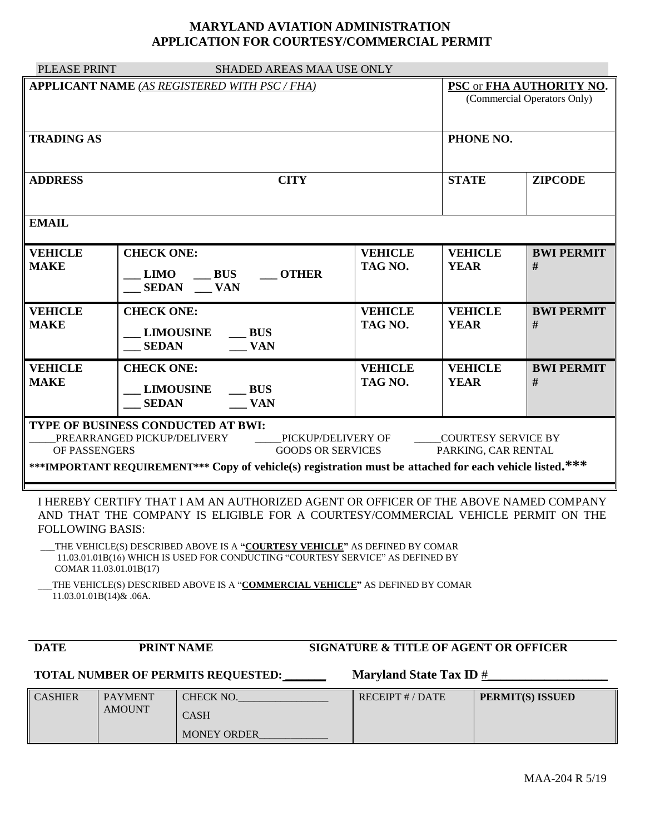## **MARYLAND AVIATION ADMINISTRATION APPLICATION FOR COURTESY/COMMERCIAL PERMIT**

| PLEASE PRINT                                                                                                                                                                                                                                                                                                                                                                                  | SHADED AREAS MAA USE ONLY                                                                       |                                                         |                               |                         |  |  |  |  |
|-----------------------------------------------------------------------------------------------------------------------------------------------------------------------------------------------------------------------------------------------------------------------------------------------------------------------------------------------------------------------------------------------|-------------------------------------------------------------------------------------------------|---------------------------------------------------------|-------------------------------|-------------------------|--|--|--|--|
|                                                                                                                                                                                                                                                                                                                                                                                               | <b>APPLICANT NAME (AS REGISTERED WITH PSC / FHA)</b>                                            | PSC or FHA AUTHORITY NO.<br>(Commercial Operators Only) |                               |                         |  |  |  |  |
| <b>TRADING AS</b>                                                                                                                                                                                                                                                                                                                                                                             |                                                                                                 |                                                         | PHONE NO.                     |                         |  |  |  |  |
| <b>ADDRESS</b>                                                                                                                                                                                                                                                                                                                                                                                | <b>CITY</b>                                                                                     | <b>STATE</b>                                            | <b>ZIPCODE</b>                |                         |  |  |  |  |
| <b>EMAIL</b>                                                                                                                                                                                                                                                                                                                                                                                  |                                                                                                 |                                                         |                               |                         |  |  |  |  |
| <b>VEHICLE</b><br><b>MAKE</b>                                                                                                                                                                                                                                                                                                                                                                 | <b>CHECK ONE:</b><br>LIMO BUS<br><b>OTHER</b><br>SEDAN ___ VAN                                  | <b>VEHICLE</b><br>TAG NO.                               | <b>VEHICLE</b><br><b>YEAR</b> | <b>BWI PERMIT</b><br>#  |  |  |  |  |
| <b>VEHICLE</b><br><b>MAKE</b>                                                                                                                                                                                                                                                                                                                                                                 | <b>CHECK ONE:</b><br><b>LIMOUSINE</b><br>$\mathbf{B}$ US<br>$\sqrt{\mathbf{V}}$<br><b>SEDAN</b> | <b>VEHICLE</b><br>TAG NO.                               | <b>VEHICLE</b><br><b>YEAR</b> | <b>BWI PERMIT</b><br>#  |  |  |  |  |
| <b>VEHICLE</b><br><b>MAKE</b>                                                                                                                                                                                                                                                                                                                                                                 | <b>CHECK ONE:</b><br>LIMOUSINE BUS<br><b>VAN</b><br><b>SEDAN</b>                                | <b>VEHICLE</b><br>TAG NO.                               | <b>VEHICLE</b><br><b>YEAR</b> | <b>BWI PERMIT</b><br>#  |  |  |  |  |
| TYPE OF BUSINESS CONDUCTED AT BWI:<br>PREARRANGED PICKUP/DELIVERY<br>PICKUP/DELIVERY OF<br>_____COURTESY SERVICE BY<br><b>GOODS OR SERVICES</b><br>OF PASSENGERS<br>PARKING, CAR RENTAL<br>***IMPORTANT REQUIREMENT*** Copy of vehicle(s) registration must be attached for each vehicle listed.***                                                                                           |                                                                                                 |                                                         |                               |                         |  |  |  |  |
| I HEREBY CERTIFY THAT I AM AN AUTHORIZED AGENT OR OFFICER OF THE ABOVE NAMED COMPANY<br>AND THAT THE COMPANY IS ELIGIBLE FOR A COURTESY/COMMERCIAL VEHICLE PERMIT ON THE<br><b>FOLLOWING BASIS:</b><br>THE VEHICLE(S) DESCRIBED ABOVE IS A "COURTESY VEHICLE" AS DEFINED BY COMAR<br>11.03.01.01B(16) WHICH IS USED FOR CONDUCTING "COURTESY SERVICE" AS DEFINED BY<br>COMAR 11.03.01.01B(17) |                                                                                                 |                                                         |                               |                         |  |  |  |  |
| THE VEHICLE(S) DESCRIBED ABOVE IS A "COMMERCIAL VEHICLE" AS DEFINED BY COMAR<br>$11.03.01.01B(14)$ & .06A.                                                                                                                                                                                                                                                                                    |                                                                                                 |                                                         |                               |                         |  |  |  |  |
| <b>DATE</b>                                                                                                                                                                                                                                                                                                                                                                                   | <b>PRINT NAME</b>                                                                               | SIGNATURE & TITLE OF AGENT OR OFFICER                   |                               |                         |  |  |  |  |
| <b>Maryland State Tax ID #</b><br><b>TOTAL NUMBER OF PERMITS REQUESTED:</b>                                                                                                                                                                                                                                                                                                                   |                                                                                                 |                                                         |                               |                         |  |  |  |  |
| CASHIER                                                                                                                                                                                                                                                                                                                                                                                       | <b>PAYMENT</b><br>CHERCK NO                                                                     | RFCFIPT # / DATF                                        |                               | <b>PERMIT(S) ISSUED</b> |  |  |  |  |

| <b>CASHIER</b> | <b>PAYMENT</b><br><b>AMOUNT</b> | <b>CHECK NO.</b><br>CASH | RECEIPT # / DATE | PERMIT(S) ISSUED |
|----------------|---------------------------------|--------------------------|------------------|------------------|
|                |                                 | <b>MONEY ORDER</b>       |                  |                  |